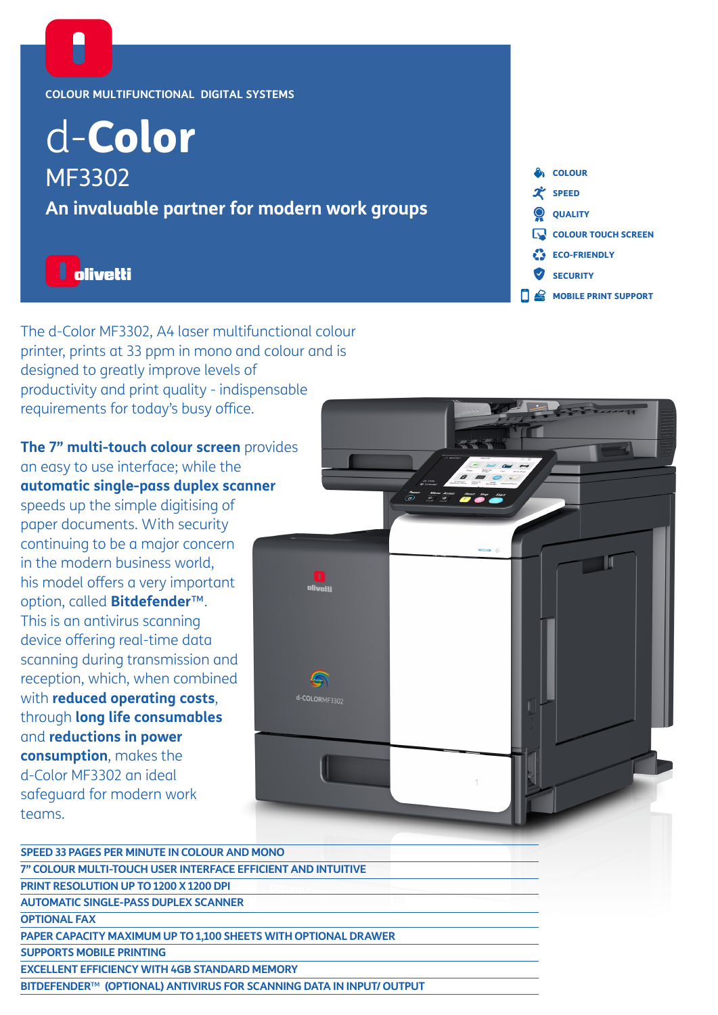#### **COLOUR MULTIFUNCTIONAL DIGITAL SYSTEMS**

# d-Color MF3302 **An invaluable partner for modern work groups**

## **I** olivetti

The d-Color MF3302, A4 laser multifunctional colour printer, prints at 33 ppm in mono and colour and is designed to greatly improve levels of productivity and print quality - indispensable requirements for today's busy office.

**The 7" multi-touch colour screen** provides an easy to use interface; while the **automatic single-pass duplex scanner** speeds up the simple digitising of paper documents. With security continuing to be a major concern in the modern business world, his model offers a very important option, called **Bitdefender**™. This is an antivirus scanning device offering real-time data scanning during transmission and reception, which, when combined with **reduced operating costs**, through **long life consumables** and **reductions in power consumption**, makes the d-Color MF3302 an ideal safeguard for modern work teams.



**e** colour  $\mathcal{\mathcal{X}}$  SPEED

QUALITY

**ECO-FRIENDLY** SECURITY

**COLOUR TOUCH SCREEN** 

 $\mathbf{\Omega}$  MOBILE PRINT SUPPORT

| SPEED 33 PAGES PER MINUTE IN COLOUR AND MONO                         |
|----------------------------------------------------------------------|
| 7" COLOUR MULTI-TOUCH USER INTERFACE EFFICIENT AND INTUITIVE         |
| PRINT RESOLUTION UP TO 1200 X 1200 DPI                               |
| <b>AUTOMATIC SINGLE-PASS DUPLEX SCANNER</b>                          |
| <b>OPTIONAL FAX</b>                                                  |
| PAPER CAPACITY MAXIMUM UP TO 1,100 SHEETS WITH OPTIONAL DRAWER       |
| <b>SUPPORTS MOBILE PRINTING</b>                                      |
| <b>EXCELLENT EFFICIENCY WITH 4GB STANDARD MEMORY</b>                 |
| BITDEFENDER™ (OPTIONAL) ANTIVIRUS FOR SCANNING DATA IN INPUT/ OUTPUT |